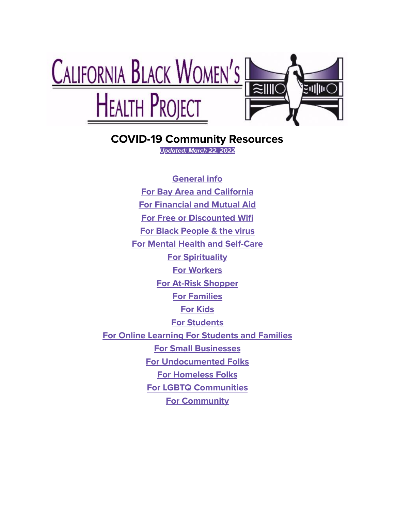

# **COVID-19 Community Resources**

**Updated: March 22, 2022**

**General info For Bay Area and California For Financial and Mutual Aid For Free or Discounted Wifi For Black People & the virus For Mental Health and Self-Care For Spirituality For Workers For At-Risk Shopper For Families For Kids For Students For Online Learning For Students and Families For Small Businesses For Undocumented Folks For Homeless Folks For LGBTQ Communities For Community**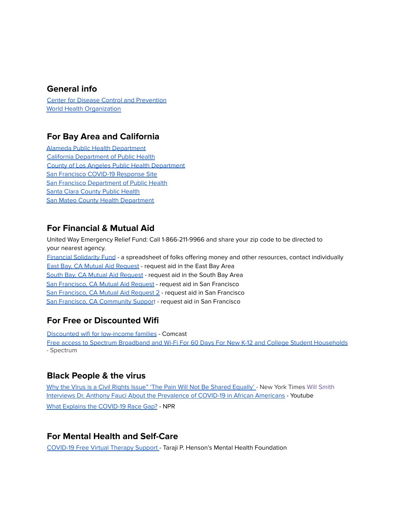#### **General info**

Center for Disease Control and [Prevention](https://www.cdc.gov/) World Health [Organization](https://www.who.int/emergencies/diseases/novel-coronavirus-2019)

#### **For Bay Area and California**

Alameda Public Health [Department](https://covid-19.acgov.org/index.page) California [Department](https://www.cdph.ca.gov/Programs/CID/DCDC/Pages/Immunization/nCOV2019.aspx) of Public Health County of Los Angeles Public Health [Department](http://publichealth.lacounty.gov/media/Coronavirus/) San Francisco COVID-19 [Response](https://sf.gov/topics/coronavirus-covid-19?fbclid=IwAR3_oyRnyTeVsHtwEPeRt8vgSxqFS7x305IzNW118plsv2L21m9nG89w59I) Site San Francisco [Department](https://www.sfdph.org/dph/alerts/coronavirus.asp) of Public Health Santa Clara [County](https://publichealth.sccgov.org/home) Public Health San Mateo County Health [Department](https://www.smchealth.org/coronavirus)

# **For Financial & Mutual Aid**

United Way Emergency Relief Fund: Call 1-866-211-9966 and share your zip code to be directed to your nearest agency. Financial [Solidarity](https://docs.google.com/spreadsheets/d/1FBEU0cdAGpScU0JrOlYFm8FrY1Bjr0_HsyW4hWOj74I/edit?fbclid=IwAR0JEMslDlce8kSJ3nqJI6N05fxa93Wc8lY0JCYT9Et2xrXIdtjLGBLuOGM#gid=1858085247) Fund - a spreadsheet of folks offering money and other resources, contact individually East Bay, CA Mutual Aid [Request](https://docs.google.com/forms/d/e/1FAIpQLSeL8HnzhwF83qq3qyDJPsE0fTSRweSp4RBZrNq-pTa3un60qg/viewform) - request aid in the East Bay Area South Bay, CA Mutual Aid [Request](https://www.aidnetwork.org/) - request aid in the South Bay Area San [Francisco,](https://airtable.com/shrijh8BPzR1gWN0T) CA Mutual Aid Request - request aid in San Francisco San [Francisco,](https://docs.google.com/forms/d/e/1FAIpQLSf6H18SgcAFYYBRsVEO2ragFad2pxCtKEAEtUOLkbJWYqi5yQ/viewform) CA Mutual Aid Request 2 - request aid in San Francisco San Francisco, CA [Community](https://docs.google.com/forms/d/e/1FAIpQLSeHPN6fTKeFq8kYCigBJ7Dicyiq5vyTKJJN7FJ7lF2QRBJKFA/viewform) Support - request aid in San Francisco

# **For Free or Discounted Wifi**

Discounted wifi for [low-income](https://internetessentials.com/) families - Comcast Free access to Spectrum Broadband and Wi-Fi For 60 Days For New K-12 and College Student [Households](https://corporate.charter.com/newsroom/charter-communications-to-participate-in-fcc-emergency-broadband-benefit-program) - Spectrum

# **Black People & the virus**

Why the Virus is a Civil Rights Issue" 'The Pain Will Not Be Shared [Equally'](https://www.nytimes.com/2020/04/19/us/coronavirus-civil-rights.html) - New York Times Will Smith Interviews Dr. Anthony Fauci About the [Prevalence](https://www.youtube.com/watch?v=9GKRwE0kHDg) of COVID-19 in African Americans - Youtube What Explains the [COVID-19](https://www.npr.org/sections/health-shots/2020/04/18/835563340/whos-hit-hardest-by-covid-19-why-obesity-stress-and-race-all-matter) Race Gap? - NPR

# **For Mental Health and Self-Care**

[COVID-19](https://borislhensonfoundation.org/mwsp-free-virtual-therapy-support) Free Virtual Therapy Support - Taraji P. Henson's Mental Health Foundation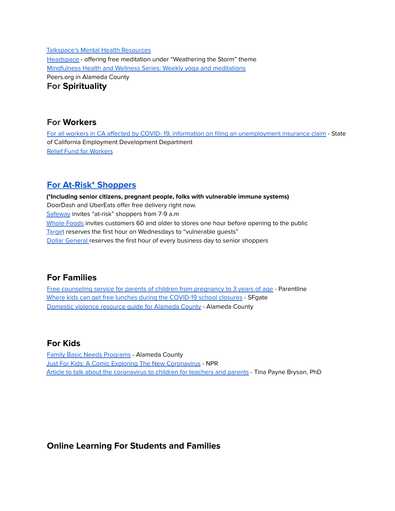[Talkspace's](https://www.talkspace.com/blog/coronavirus-talkspace-resources/) Mental Health Resources [Headspace](https://www.headspace.com/headspace-meditation-app) - offering free meditation under "Weathering the Storm" theme [Mindfulness](http://www.code2040.org/mindfulness-health-wellness-series) Health and Wellness Series: Weekly yoga and meditations Peers.org in Alameda County **For Spirituality**

#### **For Workers**

For all workers in CA affected by COVID- 19, information on filing an [unemployment](https://edd.ca.gov/about_EDD/Coronavirus-2019.HTM?fbclid=IwAR34qAMXqSTWWeKuc3icl6FzfYcfiGoUuWmiEGR-Z5vI4AGrQQWN75GzYAU) insurance claim - State of California Employment Development Department Relief Fund for [Workers](https://ofwemergencyfund.org/)

#### **For At-Risk\* [Shoppers](https://www.tasteofhome.com/collection/grocery-stores-senior-shopping-hours/)**

**(\*Including senior citizens, pregnant people, folks with vulnerable immune systems)** DoorDash and UberEats offer free delivery right now. [Safeway](https://www.usatoday.com/story/money/2020/03/17/coronavirus-shopping-stores-introduce-time-for-vulnerable-elderly-pregnant/5074064002/) invites "at-risk" shoppers from 7-9 a.m [Whole](https://media.wholefoodsmarket.com/how-whole-foods-market-is-responding-to-covid-19) Foods invites customers 60 and older to stores one hour before opening to the public [Target](https://corporate.target.com/about/purpose-history/our-commitments/target-coronavirus-info) reserves the first hour on Wednesdays to "vulnerable guests" Dollar [General](https://newscenter.dollargeneral.com/news/dollar-general-announces-first-hour-of-operations-to-be-dedicated-to-senior-customers.htm?view_id=3828) reserves the first hour of every business day to senior shoppers

#### **For Families**

Free [counseling](https://www.alamedakids.org/resource-directory/search-resource-directory.php?by=service&id=12) service for parents of children from pregnancy to 3 years of age - Parentline Where kids can get free lunches during the [COVID-19](https://www.sfgate.com/coronavirus/article/kids-students-free-lunches-coronavirus-covid-15134702.php) school closures - SFgate [Domestic](https://acphd.org/media/88820/domestic_violence.pdf) violence resource guide for Alameda County - Alameda County

#### **For Kids**

Family Basic Needs [Programs](https://www.alamedakids.org/resource-directory/search-resource-directory.php?by=service&id=1) - Alameda County Just For Kids: A Comic Exploring The New [Coronavirus](https://www.npr.org/sections/goatsandsoda/2020/02/28/809580453/just-for-kids-a-comic-exploring-the-new-coronavirus) - NPR Article to talk about the [coronavirus](https://www.tinabryson.com/news/coronavirus-talking-points-for-parents-amp-teachers-with-the-whole-brain-child-approach) to children for teachers and parents - Tina Payne Bryson, PhD

#### **Online Learning For Students and Families**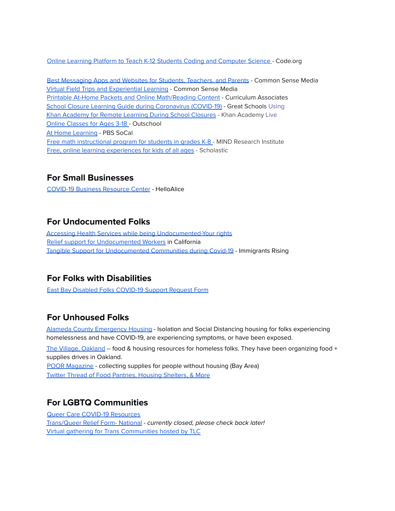Online Learning Platform to Teach K-12 Students Coding and [Computer](https://code.org/) Science - Code.org

Best [Messaging](https://www.commonsense.org/education/top-picks/best-messaging-apps-and-websites-for-students-teachers-and-parents) Apps and Websites for Students, Teachers, and Parents - Common Sense Media Virtual Field Trips and [Experiential](https://www.commonsense.org/education/top-picks/virtual-field-trip-apps-and-websites) Learning - Common Sense Media Printable At-Home Packets and Online [Math/Reading](https://www.curriculumassociates.com/distance-learning) Content - Curriculum Associates School Closure Learning Guide during [Coronavirus](https://www.greatschools.org/gk/coronavirus-school-closure-support/?utm_source=newsletter&utm_medium=email&utm_content=031520.4) (COVID-19) - Great Schools Using Khan [Academy](https://support.khanacademy.org/hc/en-us/articles/360040167432-How-can-Khan-Academy-be-used-for-remote-learning-during-school-closures-) for Remote Learning During School Closures - Khan Academy Live Online [Classes](https://outschool.com/) for Ages 3-18 - Outschool At Home [Learning](https://www.pbssocal.org/education/at-home-learning) - PBS SoCal Free math [instructional](https://www.stmath.com/learning-recovery?fbclid=IwAR2Z9kqIE7kBcVq7YdAEYuvWQEW2quTvZ6m9KS_zMeyeiT9wHYcwgpmeRv0) program for students in grades K-8 - MIND Research Institute Free, online learning [experiences](https://www.scholastic.com/parents/school-success/learn-at-home.html) for kids of all ages - Scholastic

#### **For Small Businesses**

[COVID-19](https://covid19.helloalice.com/) Business Resource Center - HelloAlice

#### **For Undocumented Folks**

Accessing Health Services while being [Undocumented-Your](https://protectingimmigrantfamilies.org/wp-content/uploads/2020/02/You-Have-Rights-Protect-Your-Health-Updated-February-2020-ENGLISH.pdf) rights Relief support for [Undocumented](https://docs.google.com/document/d/1IsPLuHoYK6ec7Gzxaw0i7On-NT1Z9IEj/edit?fbclid=IwAR0FPB7M2R9_crcaccQKogUmMIXzN6tN13rBzpkVrWOAH5t5UsVp4888rS0) Workers in California Tangible Support for [Undocumented](https://docs.google.com/document/d/1PxLuuH0-hwHXftUXuEi52Q1qWUDegN8_I1L4ulIFwzk/edit) Communities during Covid-19 - Immigrants Rising

# **For Folks with Disabilities**

East Bay Disabled Folks [COVID-19](https://docs.google.com/forms/d/e/1FAIpQLSc7LLhYN243k6xFlmQH26lAN9EoRXgEQGrghbqL8Ttc1K8YNA/viewform) Support Request Form

# **For Unhoused Folks**

Alameda County [Emergency](https://covid-19.acgov.org/index.page) Housing - Isolation and Social Distancing housing for folks experiencing homelessness and have COVID-19, are experiencing symptoms, or have been exposed.

The Village, [Oakland](https://thevillageinoakland.org/) -- food & housing resources for homeless folks. They have been organizing food + supplies drives in Oakland.

POOR [Magazine](https://www.facebook.com/PoorNewsNetwork/) - collecting supplies for people without housing (Bay Area) Twitter Thread of Food Pantries, Housing [Shelters,](https://twitter.com/MsPackyetti/status/1237473619531440128) & More

# **For LGBTQ Communities**

Queer Care COVID-19 [Resources](https://wiki.queercare.network/index.php?title=Category:Covid) [Trans/Queer](https://docs.google.com/forms/d/e/1FAIpQLSfO1Ws5YgKFMXKu9CSh_WUVCznssExW6bnJpom5JsP24XwCLQ/closedform) Relief Form- National - currently closed, please check back later! Virtual gathering for Trans [Communities](https://transgenderlawcenter.org/archives/15731) hosted by TLC